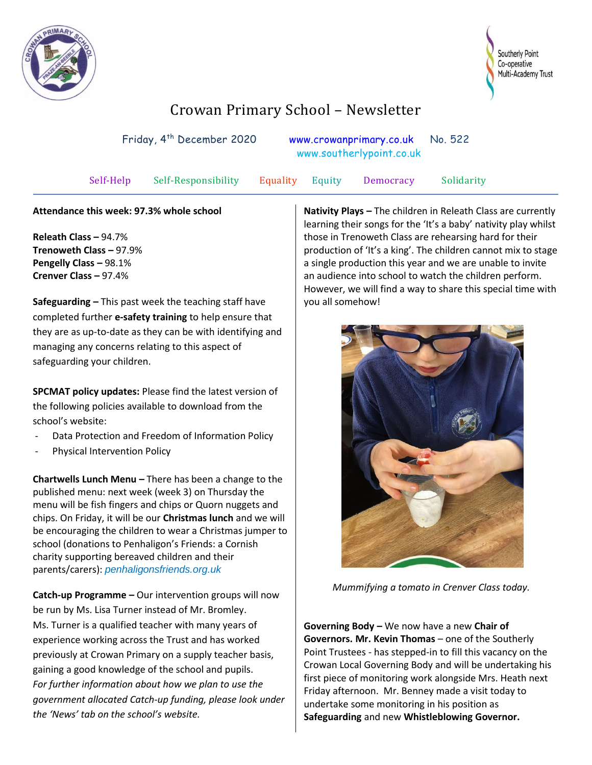



## Crowan Primary School – Newsletter

| Friday, 4 <sup>th</sup> December 2020 |                     |          | www.crowanprimary.co.uk No. 522<br>www.southerlypoint.co.uk |           |            |
|---------------------------------------|---------------------|----------|-------------------------------------------------------------|-----------|------------|
| Self-Help                             | Self-Responsibility | Equality | Equity                                                      | Democracy | Solidarity |

## **Attendance this week: 97.3% whole school**

**Releath Class –** 94.7% **Trenoweth Class –** 97.9% **Pengelly Class –** 98.1% **Crenver Class –** 97.4%

**Safeguarding –** This past week the teaching staff have completed further **e-safety training** to help ensure that they are as up-to-date as they can be with identifying and managing any concerns relating to this aspect of safeguarding your children.

**SPCMAT policy updates:** Please find the latest version of the following policies available to download from the school's website:

- Data Protection and Freedom of Information Policy
- Physical Intervention Policy

**Chartwells Lunch Menu –** There has been a change to the published menu: next week (week 3) on Thursday the menu will be fish fingers and chips or Quorn nuggets and chips. On Friday, it will be our **Christmas lunch** and we will be encouraging the children to wear a Christmas jumper to school (donations to Penhaligon's Friends: a Cornish charity supporting bereaved children and their [parents/carers\):](https://penhaligonsfriends.org.uk/) *[penhaligonsfriends.org.uk](https://penhaligonsfriends.org.uk/)* 

**Catch-up Programme –** Our intervention groups will now be run by Ms. Lisa Turner instead of Mr. Bromley. Ms. Turner is a qualified teacher with many years of experience working across the Trust and has worked previously at Crowan Primary on a supply teacher basis, gaining a good knowledge of the school and pupils. *For further information about how we plan to use the government allocated Catch-up funding, please look under the 'News' tab on the school's website.*

**Nativity Plays –** The children in Releath Class are currently learning their songs for the 'It's a baby' nativity play whilst those in Trenoweth Class are rehearsing hard for their production of 'It's a king'. The children cannot mix to stage a single production this year and we are unable to invite an audience into school to watch the children perform. However, we will find a way to share this special time with you all somehow!



*Mummifying a tomato in Crenver Class today.*

**Governing Body –** We now have a new **Chair of Governors. Mr. Kevin Thomas** – one of the Southerly Point Trustees - has stepped-in to fill this vacancy on the Crowan Local Governing Body and will be undertaking his first piece of monitoring work alongside Mrs. Heath next Friday afternoon. Mr. Benney made a visit today to undertake some monitoring in his position as **Safeguarding** and new **Whistleblowing Governor.**